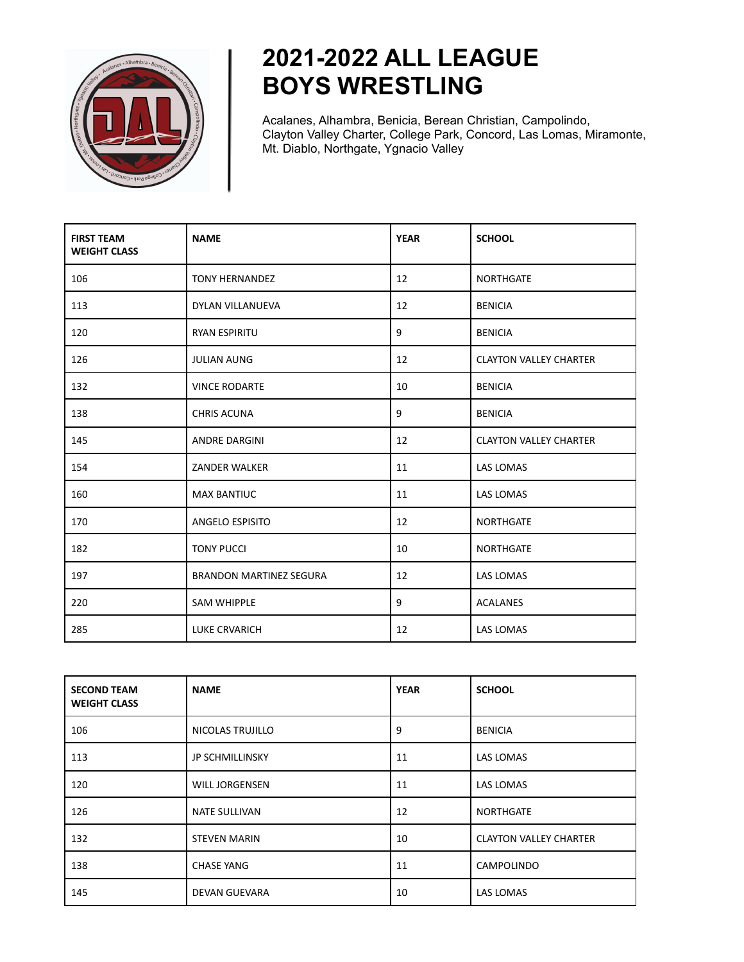

## **2021-2022 ALL LEAGUE BOYS WRESTLING**

Acalanes, Alhambra, Benicia, Berean Christian, Campolindo, Clayton Valley Charter, College Park, Concord, Las Lomas, Miramonte, Mt. Diablo, Northgate, Ygnacio Valley

| <b>FIRST TEAM</b><br><b>WEIGHT CLASS</b> | <b>NAME</b>                    | <b>YEAR</b> | <b>SCHOOL</b>                 |
|------------------------------------------|--------------------------------|-------------|-------------------------------|
| 106                                      | <b>TONY HERNANDEZ</b>          | 12          | <b>NORTHGATE</b>              |
| 113                                      | DYLAN VILLANUEVA               | 12          | <b>BENICIA</b>                |
| 120                                      | RYAN ESPIRITU                  | 9           | <b>BENICIA</b>                |
| 126                                      | <b>JULIAN AUNG</b>             | 12          | <b>CLAYTON VALLEY CHARTER</b> |
| 132                                      | <b>VINCE RODARTE</b>           | 10          | <b>BENICIA</b>                |
| 138                                      | <b>CHRIS ACUNA</b>             | 9           | <b>BENICIA</b>                |
| 145                                      | <b>ANDRE DARGINI</b>           | 12          | <b>CLAYTON VALLEY CHARTER</b> |
| 154                                      | <b>ZANDER WALKER</b>           | 11          | LAS LOMAS                     |
| 160                                      | <b>MAX BANTIUC</b>             | 11          | LAS LOMAS                     |
| 170                                      | ANGELO ESPISITO                | 12          | <b>NORTHGATE</b>              |
| 182                                      | <b>TONY PUCCI</b>              | 10          | <b>NORTHGATE</b>              |
| 197                                      | <b>BRANDON MARTINEZ SEGURA</b> | 12          | LAS LOMAS                     |
| 220                                      | <b>SAM WHIPPLE</b>             | 9           | <b>ACALANES</b>               |
| 285                                      | <b>LUKE CRVARICH</b>           | 12          | LAS LOMAS                     |

| <b>SECOND TEAM</b><br><b>WEIGHT CLASS</b> | <b>NAME</b>            | <b>YEAR</b> | <b>SCHOOL</b>                 |
|-------------------------------------------|------------------------|-------------|-------------------------------|
| 106                                       | NICOLAS TRUJILLO       | 9           | <b>BENICIA</b>                |
| 113                                       | <b>JP SCHMILLINSKY</b> | 11          | <b>LAS LOMAS</b>              |
| 120                                       | <b>WILL JORGENSEN</b>  | 11          | <b>LAS LOMAS</b>              |
| 126                                       | <b>NATE SULLIVAN</b>   | 12          | <b>NORTHGATE</b>              |
| 132                                       | <b>STEVEN MARIN</b>    | 10          | <b>CLAYTON VALLEY CHARTER</b> |
| 138                                       | <b>CHASE YANG</b>      | 11          | <b>CAMPOLINDO</b>             |
| 145                                       | <b>DEVAN GUEVARA</b>   | 10          | LAS LOMAS                     |